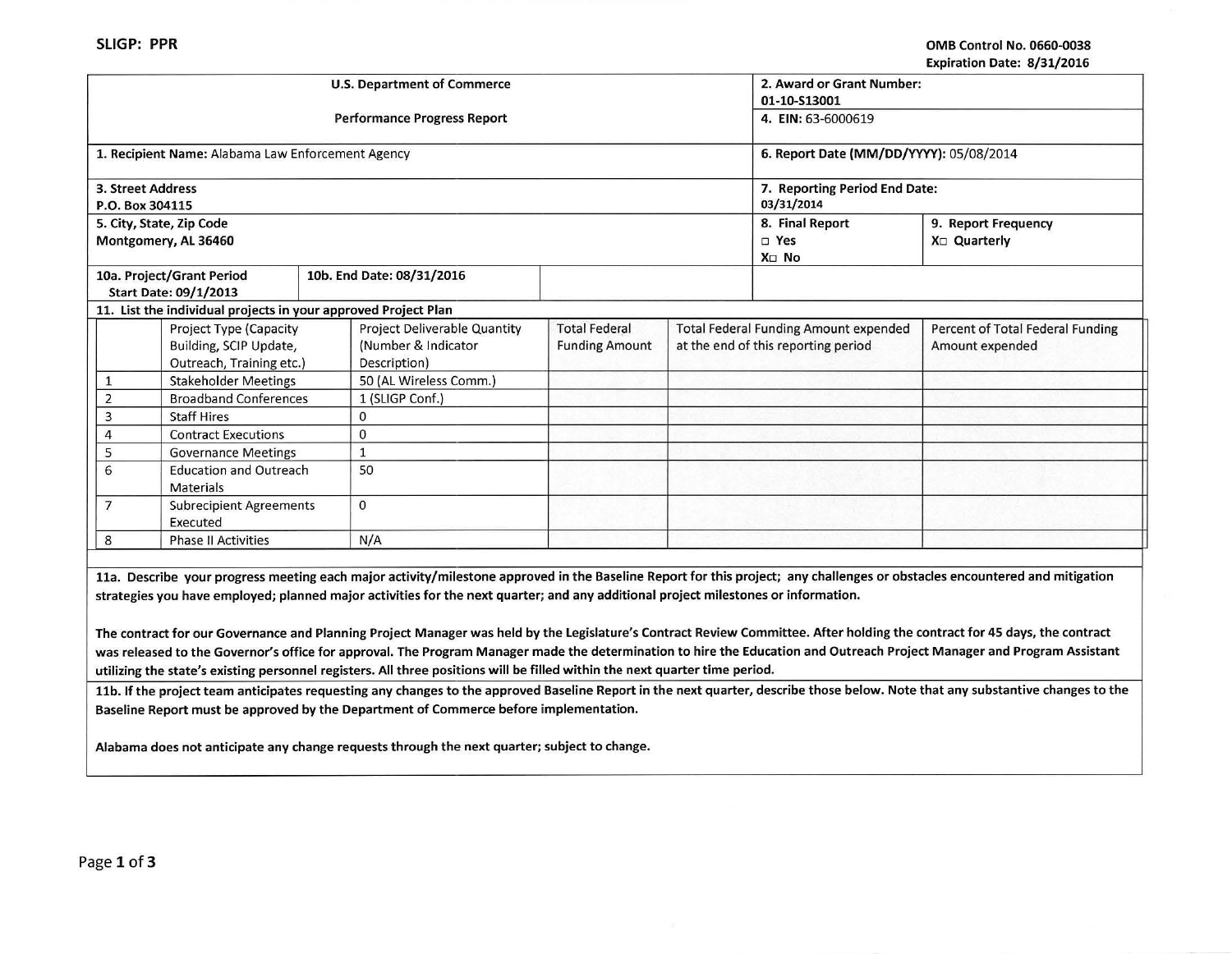| LADII GUOIT DALE. 07 JIJ LUIU                                                                                                                                              |                             |     |                              |                       |                               |                                              |                                                                                                                                                                            |  |
|----------------------------------------------------------------------------------------------------------------------------------------------------------------------------|-----------------------------|-----|------------------------------|-----------------------|-------------------------------|----------------------------------------------|----------------------------------------------------------------------------------------------------------------------------------------------------------------------------|--|
| <b>U.S. Department of Commerce</b>                                                                                                                                         |                             |     |                              |                       | 2. Award or Grant Number:     |                                              |                                                                                                                                                                            |  |
|                                                                                                                                                                            |                             |     |                              |                       |                               | 01-10-S13001                                 |                                                                                                                                                                            |  |
| <b>Performance Progress Report</b>                                                                                                                                         |                             |     |                              |                       |                               | 4. EIN: 63-6000619                           |                                                                                                                                                                            |  |
|                                                                                                                                                                            |                             |     |                              |                       |                               |                                              |                                                                                                                                                                            |  |
| 1. Recipient Name: Alabama Law Enforcement Agency                                                                                                                          |                             |     |                              |                       |                               | 6. Report Date (MM/DD/YYYY): 05/08/2014      |                                                                                                                                                                            |  |
|                                                                                                                                                                            |                             |     |                              |                       |                               |                                              |                                                                                                                                                                            |  |
| 3. Street Address                                                                                                                                                          |                             |     |                              |                       | 7. Reporting Period End Date: |                                              |                                                                                                                                                                            |  |
| P.O. Box 304115                                                                                                                                                            |                             |     |                              |                       |                               | 03/31/2014                                   |                                                                                                                                                                            |  |
| 5. City, State, Zip Code                                                                                                                                                   |                             |     |                              |                       |                               | 8. Final Report                              | 9. Report Frequency                                                                                                                                                        |  |
| Montgomery, AL 36460                                                                                                                                                       |                             |     |                              |                       |                               | $\square$ Yes                                | X <sub>□</sub> Quarterly                                                                                                                                                   |  |
|                                                                                                                                                                            |                             |     |                              |                       |                               | X□ No                                        |                                                                                                                                                                            |  |
| 10a. Project/Grant Period                                                                                                                                                  |                             |     | 10b. End Date: 08/31/2016    |                       |                               |                                              |                                                                                                                                                                            |  |
| <b>Start Date: 09/1/2013</b>                                                                                                                                               |                             |     |                              |                       |                               |                                              |                                                                                                                                                                            |  |
| 11. List the individual projects in your approved Project Plan                                                                                                             |                             |     |                              |                       |                               |                                              |                                                                                                                                                                            |  |
|                                                                                                                                                                            | Project Type (Capacity      |     | Project Deliverable Quantity | <b>Total Federal</b>  |                               | <b>Total Federal Funding Amount expended</b> | Percent of Total Federal Funding                                                                                                                                           |  |
| Building, SCIP Update,                                                                                                                                                     |                             |     | (Number & Indicator          | <b>Funding Amount</b> |                               | at the end of this reporting period          | Amount expended                                                                                                                                                            |  |
| Outreach, Training etc.)                                                                                                                                                   |                             |     | Description)                 |                       |                               |                                              |                                                                                                                                                                            |  |
| $\mathbf{1}$                                                                                                                                                               | <b>Stakeholder Meetings</b> |     | 50 (AL Wireless Comm.)       |                       |                               |                                              |                                                                                                                                                                            |  |
| $\overline{2}$<br><b>Broadband Conferences</b>                                                                                                                             |                             |     | 1 (SLIGP Conf.)              |                       |                               |                                              |                                                                                                                                                                            |  |
| 3<br><b>Staff Hires</b>                                                                                                                                                    |                             |     | $\mathbf{0}$                 |                       |                               |                                              |                                                                                                                                                                            |  |
| $\overline{4}$                                                                                                                                                             | <b>Contract Executions</b>  |     | 0                            |                       |                               |                                              |                                                                                                                                                                            |  |
| 5                                                                                                                                                                          | <b>Governance Meetings</b>  |     | $\mathbf{1}$                 |                       |                               |                                              |                                                                                                                                                                            |  |
| 6<br><b>Education and Outreach</b>                                                                                                                                         |                             |     | 50                           |                       |                               |                                              |                                                                                                                                                                            |  |
| <b>Materials</b>                                                                                                                                                           |                             |     |                              |                       |                               |                                              |                                                                                                                                                                            |  |
| $\overline{7}$<br><b>Subrecipient Agreements</b>                                                                                                                           |                             |     | $\Omega$                     |                       |                               |                                              |                                                                                                                                                                            |  |
| Executed                                                                                                                                                                   |                             |     |                              |                       |                               |                                              |                                                                                                                                                                            |  |
| 8<br><b>Phase II Activities</b>                                                                                                                                            |                             | N/A |                              |                       |                               |                                              |                                                                                                                                                                            |  |
|                                                                                                                                                                            |                             |     |                              |                       |                               |                                              |                                                                                                                                                                            |  |
| 11a. Describe your progress meeting each major activity/milestone approved in the Baseline Report for this project; any challenges or obstacles encountered and mitigation |                             |     |                              |                       |                               |                                              |                                                                                                                                                                            |  |
| strategies you have employed; planned major activities for the next quarter; and any additional project milestones or information.                                         |                             |     |                              |                       |                               |                                              |                                                                                                                                                                            |  |
|                                                                                                                                                                            |                             |     |                              |                       |                               |                                              |                                                                                                                                                                            |  |
|                                                                                                                                                                            |                             |     |                              |                       |                               |                                              | The contract for our Governance and Planning Project Manager was held by the Legislature's Contract Review Committee. After holding the contract for 45 days, the contract |  |
|                                                                                                                                                                            |                             |     |                              |                       |                               |                                              | was released to the Governor's office for approval. The Program Manager made the determination to hire the Education and Outreach Project Manager and Program Assistant    |  |

utilizing the state's existing personnel registers. All three positions will be filled within the next quarter time period.

11b. If the project team anticipates requesting any changes to the approved Baseline Report in the next quarter, describe those below. Note that any substantive changes to the Baseline Report must be approved by the Department of Commerce before implementation.

Alabama does not anticipate any change requests through the next quarter; subject to change.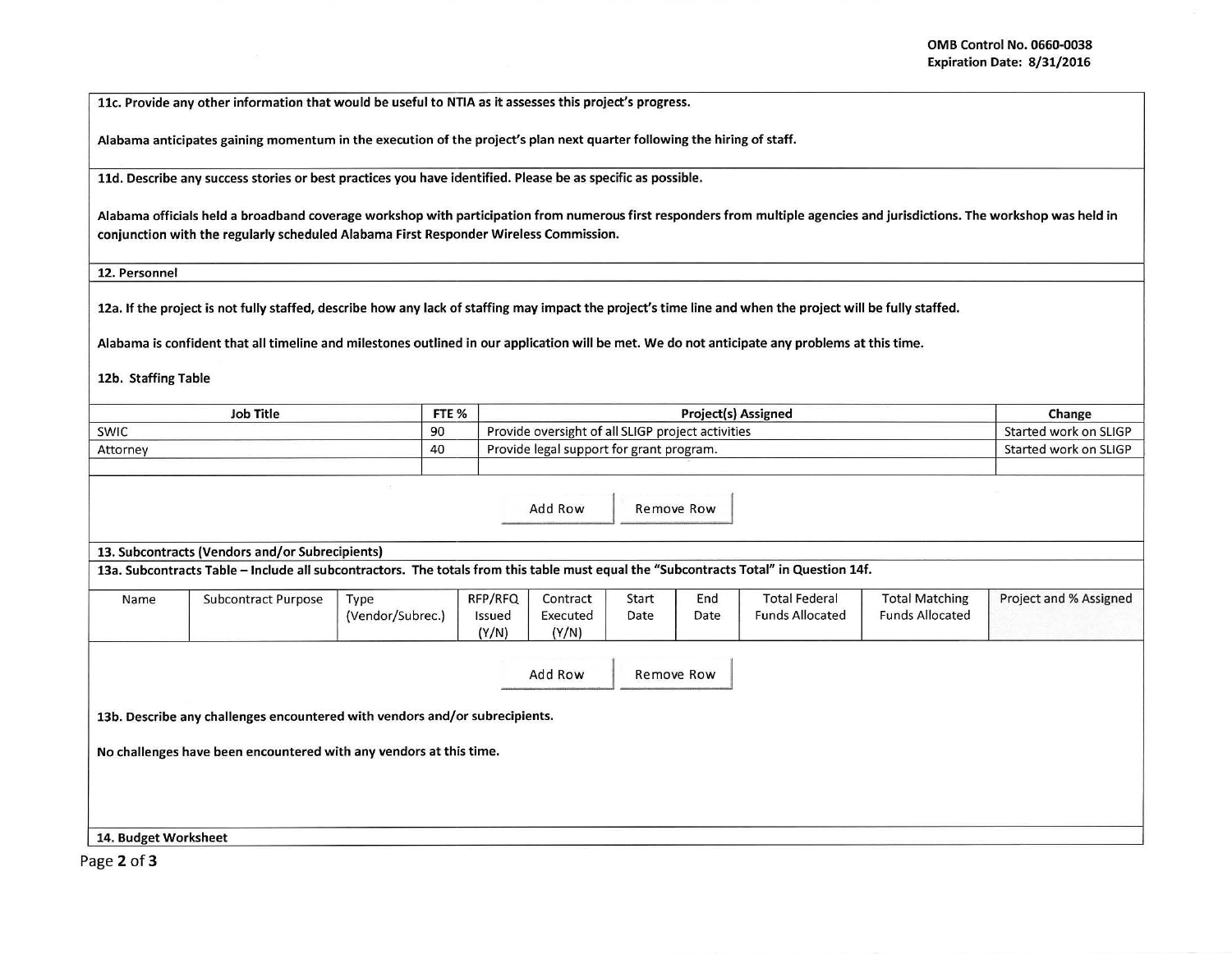llc. Provide any other information that would be useful to NTIA as it assesses this project's progress.

Alabama anticipates gaining momentum in the execution of the project's plan next quarter following the hiring of staff.

lld. Describe any success stories or best practices you have identified. Please be as specific as possible.

Alabama officials held a broadband coverage workshop with participation from numerous first responders from multiple agencies and jurisdictions. The workshop was held in conjunction with the regularly scheduled Alabama First Responder Wireless Commission.

12. Personnel

12a. If the project is not fully staffed, describe how any lack of staffing may impact the project's time line and when the project will be fully staffed.

Alabama is confident that all timeline and milestones outlined in our application will be met. We do not anticipate any problems at this time.

12b. Staffing Table

| <b>Job Title</b> | FTE %<br><b>Project(s) Assigned</b> |                                                   | Change                |  |
|------------------|-------------------------------------|---------------------------------------------------|-----------------------|--|
| <b>SWIC</b>      | 90                                  | Provide oversight of all SLIGP project activities | Started work on SLIGP |  |
| Attorney         | 40                                  | Provide legal support for grant program.          | Started work on SLIGP |  |
|                  |                                     |                                                   |                       |  |

Add Row Remove Row

13. Subcontracts (Vendors and/or Subrecipients)

13a. Subcontracts Table -Include all subcontractors. The totals from this table must equal the "Subcontracts Total" in Question 14f.

| Name | Subcontract Purpose | Type<br>(Vendor/Subrec.) | RFP/RFQ<br>Issued<br>(Y/N) | Contract<br>Executed<br>(Y/N) | Start<br>Date | End<br>Date | <b>Total Federal</b><br><b>Funds Allocated</b> | <b>Total Matching</b><br><b>Funds Allocated</b> | Project and % Assigned |
|------|---------------------|--------------------------|----------------------------|-------------------------------|---------------|-------------|------------------------------------------------|-------------------------------------------------|------------------------|
|      |                     |                          |                            | Add Row                       |               | Remove Row  |                                                |                                                 |                        |

13b. Describe any challenges encountered with vendors and/or subrecipients.

No challenges have been encountered with any vendors at this time.

14. Budget Worksheet

Page 2 of 3